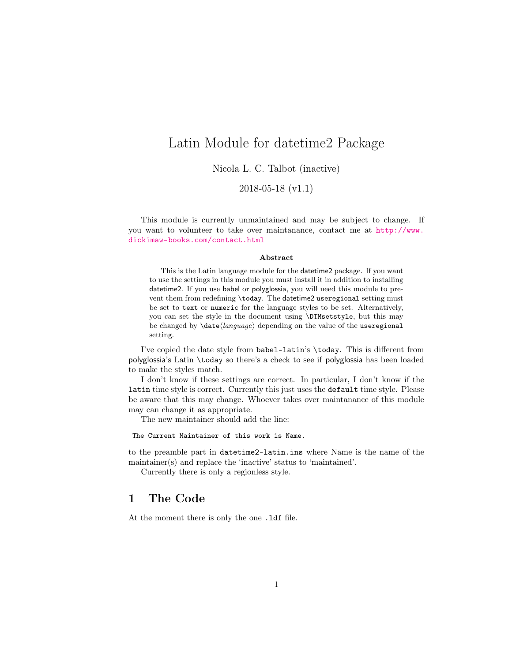## <span id="page-0-0"></span>Latin Module for datetime2 Package

Nicola L. C. Talbot (inactive)

2018-05-18 (v1.1)

This module is currently unmaintained and may be subject to change. If you want to volunteer to take over maintanance, contact me at [http://www.](http://www.dickimaw-books.com/contact.html) [dickimaw-books.com/contact.html](http://www.dickimaw-books.com/contact.html)

### Abstract

This is the Latin language module for the datetime2 package. If you want to use the settings in this module you must install it in addition to installing datetime2. If you use babel or polyglossia, you will need this module to prevent them from redefining \today. The datetime2 useregional setting must be set to text or numeric for the language styles to be set. Alternatively, you can set the style in the document using \DTMsetstyle, but this may be changed by  $\data\langle language\rangle$  depending on the value of the useregional setting.

I've copied the date style from babel-latin's \today. This is different from polyglossia's Latin \today so there's a check to see if polyglossia has been loaded to make the styles match.

I don't know if these settings are correct. In particular, I don't know if the latin time style is correct. Currently this just uses the default time style. Please be aware that this may change. Whoever takes over maintanance of this module may can change it as appropriate.

The new maintainer should add the line:

The Current Maintainer of this work is Name.

to the preamble part in datetime2-latin.ins where Name is the name of the maintainer(s) and replace the 'inactive' status to 'maintained'.

Currently there is only a regionless style.

## 1 The Code

At the moment there is only the one .ldf file.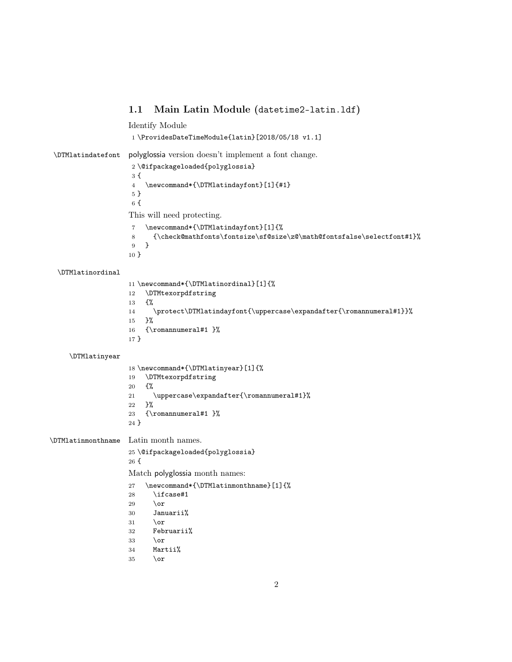<span id="page-1-0"></span>1.1 Main Latin Module (datetime2-latin.ldf) Identify Module \ProvidesDateTimeModule{latin}[2018/05/18 v1.1] \DTMlatindatefont polyglossia version doesn't implement a font change. \@ifpackageloaded{polyglossia} { \newcommand\*{\DTMlatindayfont}[1]{#1} } { This will need protecting. \newcommand\*{\DTMlatindayfont}[1]{% {\check@mathfonts\fontsize\sf@size\z@\math@fontsfalse\selectfont#1}% } } \DTMlatinordinal

 \newcommand\*{\DTMlatinordinal}[1]{% \DTMtexorpdfstring {% \protect\DTMlatindayfont{\uppercase\expandafter{\romannumeral#1}}% }% {\romannumeral#1 }% }

\DTMlatinyear

 \newcommand\*{\DTMlatinyear}[1]{% \DTMtexorpdfstring {% 21  $\uparrow$  /uppercase\expandafter{\romannumeral#1}% }% {\romannumeral#1 }% }

\DTMlatinmonthname Latin month names.

\@ifpackageloaded{polyglossia}

{

Match polyglossia month names:

- \newcommand\*{\DTMlatinmonthname}[1]{%
- \ifcase#1
- 29  $\lambda$ or
- Januarii%
- $31 \qquad \text{lor}$
- Februarii%
- $33 \over \text{or}$
- Martii%
- $35 \over \or$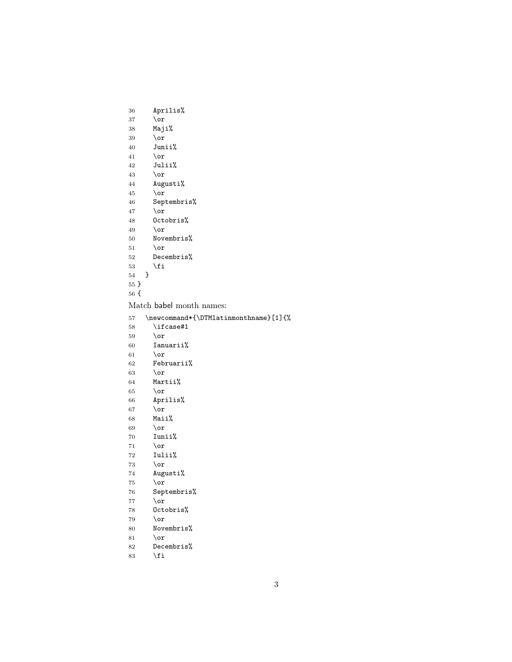```
36 Aprilis%
```
- $37 \over \sqrt{or}$
- 38 Maji%
- 39 \or 40 Junii%
- 41 \or
- 42 Julii%
- 43 \or
- 44 Augusti%
- 45 \or
- 46 Septembris%
- 47 \or
- 48 Octobris%
- 49 \or
- 50 Novembris%
- $51$  \or<br> $52$  Dece
- Decembris%
- 53  $\setminus$ fi
- 54 }
- 55 }
- 56 {

Match babel month names:

- 57 \newcommand\*{\DTMlatinmonthname}[1]{%
- 58 \ifcase#1
- 59 \or
- 60 Ianuarii%
- 61 \or
- 62 Februarii%
- 63 \or
- 64 Martii%
- $65 \overline{\phantom{a}}$  \or
- 66 Aprilis%
- 67 \or
- 68 Maii%
- 69  $\overline{\or}$
- 70 Iunii%
- 71 \or 72 Iulii%
- 73 \or
- 74 Augusti%
- 75 \or
- 
- 76 Septembris%
- 77 \or
- 78 Octobris%
- 79  $\or$
- 80 Novembris%
- 81 \or
- 82 Decembris%
- 83  $\setminus$ fi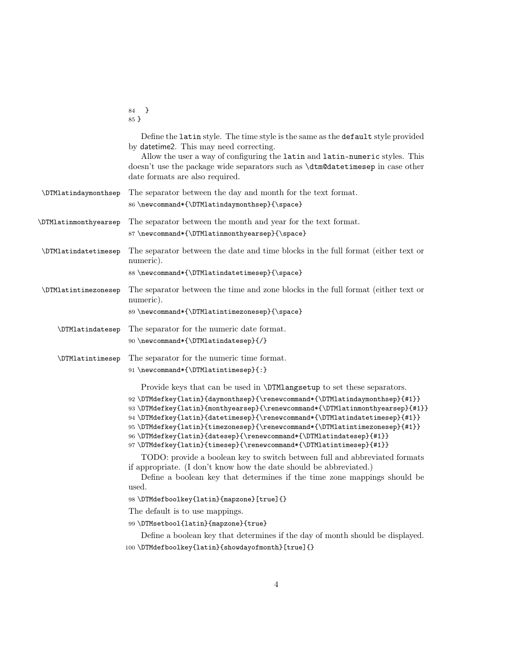<span id="page-3-0"></span>

|                       | 84 }<br>$85 \}$                                                                                                                                                                                                                                                                                                                                                                                                                                                     |
|-----------------------|---------------------------------------------------------------------------------------------------------------------------------------------------------------------------------------------------------------------------------------------------------------------------------------------------------------------------------------------------------------------------------------------------------------------------------------------------------------------|
|                       | Define the latin style. The time style is the same as the default style provided<br>by datetime2. This may need correcting.<br>Allow the user a way of configuring the latin and latin-numeric styles. This<br>doesn't use the package wide separators such as <b>\dtm@datetimesep</b> in case other<br>date formats are also required.                                                                                                                             |
| \DTMlatindaymonthsep  | The separator between the day and month for the text format.<br>86 \newcommand*{\DTMlatindaymonthsep}{\space}                                                                                                                                                                                                                                                                                                                                                       |
| \DTMlatinmonthyearsep | The separator between the month and year for the text format.<br>87\newcommand*{\DTMlatinmonthyearsep}{\space}                                                                                                                                                                                                                                                                                                                                                      |
| \DTMlatindatetimesep  | The separator between the date and time blocks in the full format (either text or<br>numeric).                                                                                                                                                                                                                                                                                                                                                                      |
|                       | 88\newcommand*{\DTMlatindatetimesep}{\space}                                                                                                                                                                                                                                                                                                                                                                                                                        |
| \DTMlatintimezonesep  | The separator between the time and zone blocks in the full format (either text or<br>numeric).                                                                                                                                                                                                                                                                                                                                                                      |
|                       | 89 \newcommand*{\DTMlatintimezonesep}{\space}                                                                                                                                                                                                                                                                                                                                                                                                                       |
| \DTMlatindatesep      | The separator for the numeric date format.                                                                                                                                                                                                                                                                                                                                                                                                                          |
|                       | 90 \newcommand*{\DTMlatindatesep}{/}                                                                                                                                                                                                                                                                                                                                                                                                                                |
| \DTMlatintimesep      | The separator for the numeric time format.                                                                                                                                                                                                                                                                                                                                                                                                                          |
|                       | 91 \newcommand*{\DTMlatintimesep}{:}                                                                                                                                                                                                                                                                                                                                                                                                                                |
|                       | Provide keys that can be used in \DTMlangsetup to set these separators.                                                                                                                                                                                                                                                                                                                                                                                             |
|                       | 92 \DTMdefkey{latin}{daymonthsep}{\renewcommand*{\DTMlatindaymonthsep}{#1}}<br>93\DTMdefkey{latin}{monthyearsep}{\renewcommand*{\DTMlatinmonthyearsep}{#1}}<br>94\DTMdefkey{latin}{datetimesep}{\renewcommand*{\DTMlatindatetimesep}{#1}}<br>95\DTMdefkey{latin}{timezonesep}{\renewcommand*{\DTMlatintimezonesep}{#1}}<br>96\DTMdefkey{latin}{datesep}{\renewcommand*{\DTMlatindatesep}{#1}}<br>97\DTMdefkey{latin}{timesep}{\renewcommand*{\DTMlatintimesep}{#1}} |
|                       | TODO: provide a boolean key to switch between full and abbreviated formats<br>if appropriate. (I don't know how the date should be abbreviated.)<br>Define a boolean key that determines if the time zone mappings should be<br>used.                                                                                                                                                                                                                               |
|                       | 98\DTMdefboolkey{latin}{mapzone}[true]{}                                                                                                                                                                                                                                                                                                                                                                                                                            |
|                       | The default is to use mappings.                                                                                                                                                                                                                                                                                                                                                                                                                                     |
|                       | 99 \DTMsetbool{latin}{mapzone}{true}                                                                                                                                                                                                                                                                                                                                                                                                                                |
|                       | Define a boolean key that determines if the day of month should be displayed.                                                                                                                                                                                                                                                                                                                                                                                       |
|                       | 100\DTMdefboolkey{latin}{showdayofmonth}[true]{}                                                                                                                                                                                                                                                                                                                                                                                                                    |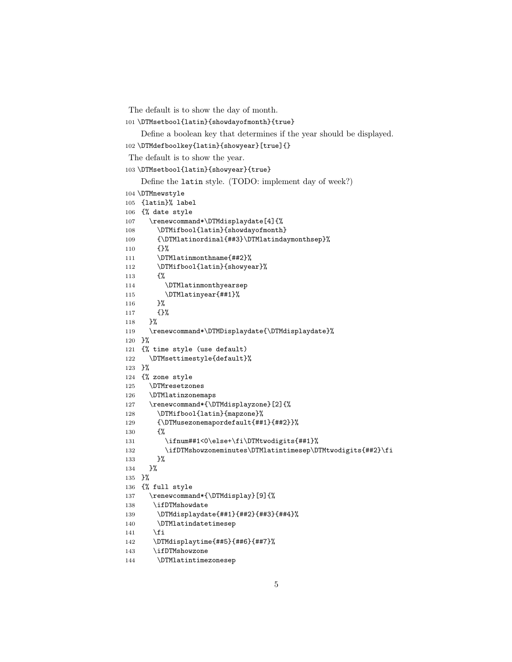The default is to show the day of month.

\DTMsetbool{latin}{showdayofmonth}{true}

Define a boolean key that determines if the year should be displayed.

```
102 \DTMdefboolkey{latin}{showyear}[true]{}
```
The default is to show the year.

\DTMsetbool{latin}{showyear}{true}

Define the latin style. (TODO: implement day of week?)

```
104 \DTMnewstyle
105 {latin}% label
106 {% date style
107 \renewcommand*\DTMdisplaydate[4]{%
108 \DTMifbool{latin}{showdayofmonth}
109 {\DTMlatinordinal{##3}\DTMlatindaymonthsep}%
110 {}%
111 \DTMlatinmonthname{##2}%
112 \DTMifbool{latin}{showyear}%
113 {%
114 \DTMlatinmonthyearsep
115 \DTMlatinyear{##1}%
116 }%
117 {}%
118 }%
119 \renewcommand*\DTMDisplaydate{\DTMdisplaydate}%
120 }%
121 {% time style (use default)
122 \DTMsettimestyle{default}%
123 }%
124 {% zone style
125 \DTMresetzones
126 \DTMlatinzonemaps
127 \renewcommand*{\DTMdisplayzone}[2]{%
128 \DTMifbool{latin}{mapzone}%
129 {\DTMusezonemapordefault{##1}{##2}}%
130 {%
131 \ifnum##1<0\else+\fi\DTMtwodigits{##1}%
132 \ifDTMshowzoneminutes\DTMlatintimesep\DTMtwodigits{##2}\fi
133 }%
134 }%
135 }%
136 {% full style
137 \renewcommand*{\DTMdisplay}[9]{%
138 \ifDTMshowdate
139 \DTMdisplaydate{##1}{##2}{##3}{##4}%
140 \DTMlatindatetimesep
141 \qquad \qquad \int fi
142 \DTMdisplaytime{##5}{##6}{##7}%
143 \ifDTMshowzone
144 \DTMlatintimezonesep
```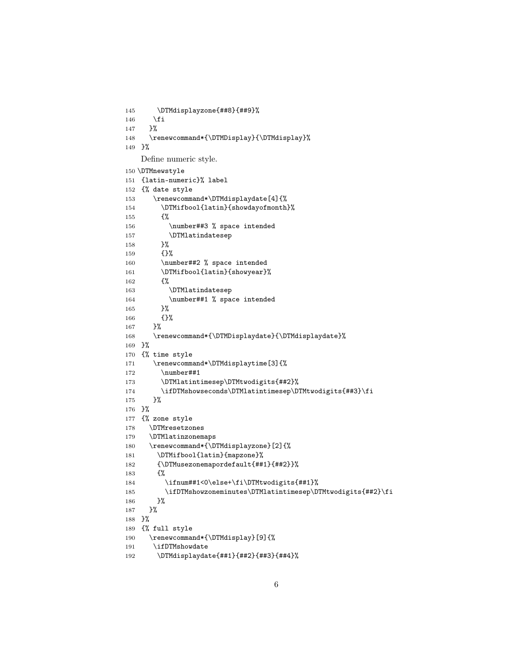```
145 \DTMdisplayzone{##8}{##9}%
146 \fi
147 }%
148 \renewcommand*{\DTMDisplay}{\DTMdisplay}%
149 }%
   Define numeric style.
150 \DTMnewstyle
151 {latin-numeric}% label
152 {% date style
153 \renewcommand*\DTMdisplaydate[4]{%
154 \DTMifbool{latin}{showdayofmonth}%
155 {%
156 \number##3 % space intended
157 \DTMlatindatesep
158 }%
159 {}%
160 \number##2 % space intended
161 \DTMifbool{latin}{showyear}%
162 {%
163 \DTMlatindatesep
164 \number##1 % space intended
165 }%
166 {}%
167 }%
168 \renewcommand*{\DTMDisplaydate}{\DTMdisplaydate}%
169 }%
170 {% time style
171 \renewcommand*\DTMdisplaytime[3]{%
172 \number##1
173 \DTMlatintimesep\DTMtwodigits{##2}%
174 \ifDTMshowseconds\DTMlatintimesep\DTMtwodigits{##3}\fi
175 }%
176 }%
177 {% zone style
178 \DTMresetzones
179 \DTMlatinzonemaps
180 \renewcommand*{\DTMdisplayzone}[2]{%
181 \DTMifbool{latin}{mapzone}%
182 {\DTMusezonemapordefault{##1}{##2}}%
183 {%
184 \ifnum##1<0\else+\fi\DTMtwodigits{##1}%
185 \ifDTMshowzoneminutes\DTMlatintimesep\DTMtwodigits{##2}\fi
186 }%
187 }%
188 }%
189 {% full style
190 \renewcommand*{\DTMdisplay}[9]{%
191 \ifDTMshowdate
192 \DTMdisplaydate{##1}{##2}{##3}{##4}%
```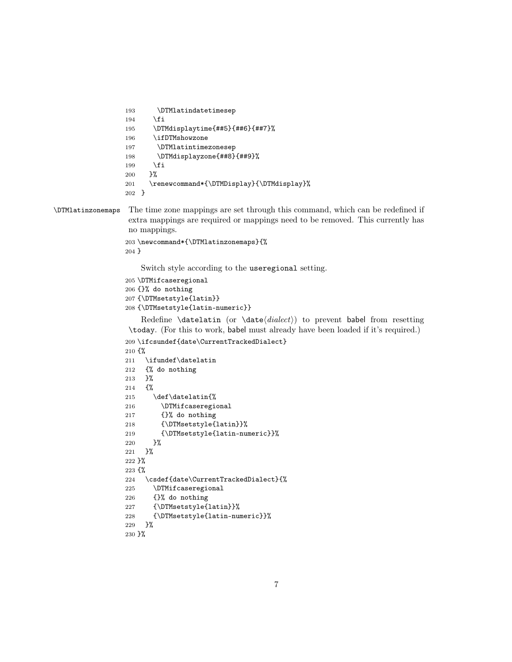```
193 \DTMlatindatetimesep
194 \fi
195 \DTMdisplaytime{##5}{##6}{##7}%
196 \ifDTMshowzone
197 \DTMlatintimezonesep
198 \DTMdisplayzone{##8}{##9}%
199 \forallfi
200 }%
201 \renewcommand*{\DTMDisplay}{\DTMdisplay}%
202 }
```
### \DTMlatinzonemaps The time zone mappings are set through this command, which can be redefined if extra mappings are required or mappings need to be removed. This currently has no mappings.

```
203 \newcommand*{\DTMlatinzonemaps}{%
204 }
```
Switch style according to the useregional setting.

```
205 \DTMifcaseregional
```

```
206 {}% do nothing
```
{\DTMsetstyle{latin}}

```
208 {\DTMsetstyle{latin-numeric}}
```
Redefine \datelatin (or \date $\langle \text{dialect} \rangle$ ) to prevent babel from resetting \today. (For this to work, babel must already have been loaded if it's required.)

```
209 \ifcsundef{date\CurrentTrackedDialect}
210 {%
211 \ifundef\datelatin
212 {% do nothing
213 }%
214 {%
215 \def\datelatin{%
216 \DTMifcaseregional
217 {}% do nothing
218 {\DTMsetstyle{latin}}%
219 {\DTMsetstyle{latin-numeric}}%
220 }%
221 }%
222 }%
223 {%
224 \csdef{date\CurrentTrackedDialect}{%
225 \DTMifcaseregional
226 {}% do nothing
227 {\DTMsetstyle{latin}}%
228 {\DTMsetstyle{latin-numeric}}%
229 }%
230 }%
```